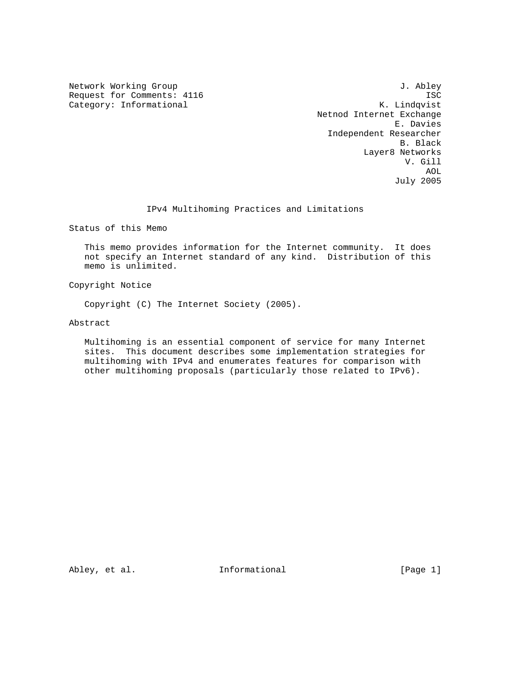Request for Comments: 4116 ISC<br>Category: Informational Mateur Mateus R. Lindqvist Category: Informational

Network Working Group 3. Abley Netnod Internet Exchange E. Davies Independent Researcher B. Black Layer8 Networks V. Gill AOL July 2005

### IPv4 Multihoming Practices and Limitations

Status of this Memo

 This memo provides information for the Internet community. It does not specify an Internet standard of any kind. Distribution of this memo is unlimited.

Copyright Notice

Copyright (C) The Internet Society (2005).

Abstract

 Multihoming is an essential component of service for many Internet sites. This document describes some implementation strategies for multihoming with IPv4 and enumerates features for comparison with other multihoming proposals (particularly those related to IPv6).

Abley, et al.  $I_n$  Informational [Page 1]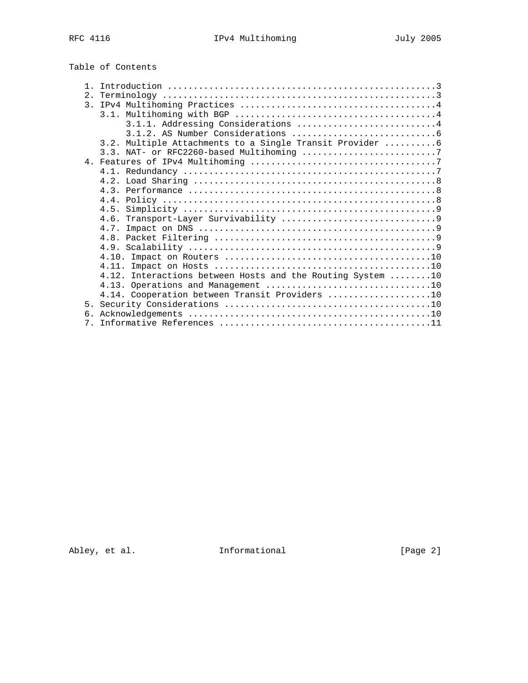# Table of Contents

| $\mathbf{1}$   |                                                            |
|----------------|------------------------------------------------------------|
| 2.1            |                                                            |
| $\mathcal{E}$  |                                                            |
|                |                                                            |
|                | 3.1.1. Addressing Considerations 4                         |
|                |                                                            |
|                | 3.2. Multiple Attachments to a Single Transit Provider  6  |
|                |                                                            |
|                |                                                            |
|                |                                                            |
|                |                                                            |
|                |                                                            |
|                |                                                            |
|                |                                                            |
|                | 4.6.                                                       |
|                |                                                            |
|                |                                                            |
|                |                                                            |
|                |                                                            |
|                |                                                            |
|                | 4.12. Interactions between Hosts and the Routing System 10 |
|                |                                                            |
|                | 4.14. Cooperation between Transit Providers 10             |
| 5.             |                                                            |
| б.             |                                                            |
|                |                                                            |
| 7 <sub>1</sub> |                                                            |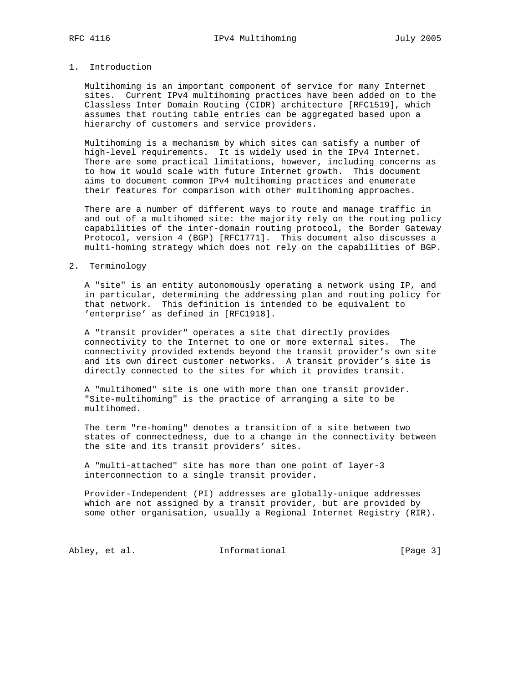# 1. Introduction

 Multihoming is an important component of service for many Internet sites. Current IPv4 multihoming practices have been added on to the Classless Inter Domain Routing (CIDR) architecture [RFC1519], which assumes that routing table entries can be aggregated based upon a hierarchy of customers and service providers.

 Multihoming is a mechanism by which sites can satisfy a number of high-level requirements. It is widely used in the IPv4 Internet. There are some practical limitations, however, including concerns as to how it would scale with future Internet growth. This document aims to document common IPv4 multihoming practices and enumerate their features for comparison with other multihoming approaches.

 There are a number of different ways to route and manage traffic in and out of a multihomed site: the majority rely on the routing policy capabilities of the inter-domain routing protocol, the Border Gateway Protocol, version 4 (BGP) [RFC1771]. This document also discusses a multi-homing strategy which does not rely on the capabilities of BGP.

#### 2. Terminology

 A "site" is an entity autonomously operating a network using IP, and in particular, determining the addressing plan and routing policy for that network. This definition is intended to be equivalent to 'enterprise' as defined in [RFC1918].

 A "transit provider" operates a site that directly provides connectivity to the Internet to one or more external sites. The connectivity provided extends beyond the transit provider's own site and its own direct customer networks. A transit provider's site is directly connected to the sites for which it provides transit.

 A "multihomed" site is one with more than one transit provider. "Site-multihoming" is the practice of arranging a site to be multihomed.

 The term "re-homing" denotes a transition of a site between two states of connectedness, due to a change in the connectivity between the site and its transit providers' sites.

 A "multi-attached" site has more than one point of layer-3 interconnection to a single transit provider.

 Provider-Independent (PI) addresses are globally-unique addresses which are not assigned by a transit provider, but are provided by some other organisation, usually a Regional Internet Registry (RIR).

Abley, et al. 1nformational 1999 [Page 3]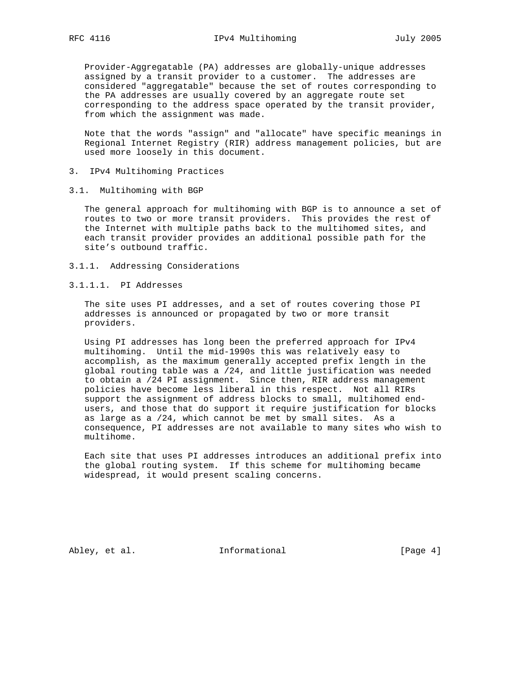Provider-Aggregatable (PA) addresses are globally-unique addresses assigned by a transit provider to a customer. The addresses are considered "aggregatable" because the set of routes corresponding to the PA addresses are usually covered by an aggregate route set corresponding to the address space operated by the transit provider, from which the assignment was made.

 Note that the words "assign" and "allocate" have specific meanings in Regional Internet Registry (RIR) address management policies, but are used more loosely in this document.

- 3. IPv4 Multihoming Practices
- 3.1. Multihoming with BGP

 The general approach for multihoming with BGP is to announce a set of routes to two or more transit providers. This provides the rest of the Internet with multiple paths back to the multihomed sites, and each transit provider provides an additional possible path for the site's outbound traffic.

- 3.1.1. Addressing Considerations
- 3.1.1.1. PI Addresses

 The site uses PI addresses, and a set of routes covering those PI addresses is announced or propagated by two or more transit providers.

 Using PI addresses has long been the preferred approach for IPv4 multihoming. Until the mid-1990s this was relatively easy to accomplish, as the maximum generally accepted prefix length in the global routing table was a /24, and little justification was needed to obtain a /24 PI assignment. Since then, RIR address management policies have become less liberal in this respect. Not all RIRs support the assignment of address blocks to small, multihomed end users, and those that do support it require justification for blocks as large as a /24, which cannot be met by small sites. As a consequence, PI addresses are not available to many sites who wish to multihome.

 Each site that uses PI addresses introduces an additional prefix into the global routing system. If this scheme for multihoming became widespread, it would present scaling concerns.

Abley, et al. 1nformational 1999 [Page 4]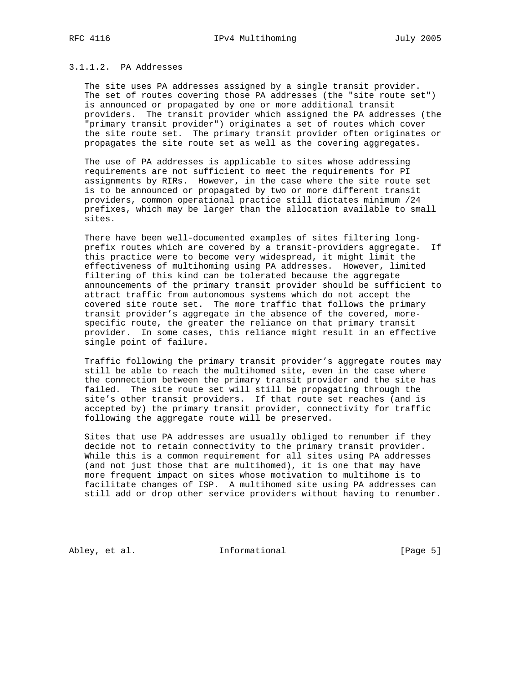#### 3.1.1.2. PA Addresses

 The site uses PA addresses assigned by a single transit provider. The set of routes covering those PA addresses (the "site route set") is announced or propagated by one or more additional transit providers. The transit provider which assigned the PA addresses (the "primary transit provider") originates a set of routes which cover the site route set. The primary transit provider often originates or propagates the site route set as well as the covering aggregates.

 The use of PA addresses is applicable to sites whose addressing requirements are not sufficient to meet the requirements for PI assignments by RIRs. However, in the case where the site route set is to be announced or propagated by two or more different transit providers, common operational practice still dictates minimum /24 prefixes, which may be larger than the allocation available to small sites.

 There have been well-documented examples of sites filtering long prefix routes which are covered by a transit-providers aggregate. If this practice were to become very widespread, it might limit the effectiveness of multihoming using PA addresses. However, limited filtering of this kind can be tolerated because the aggregate announcements of the primary transit provider should be sufficient to attract traffic from autonomous systems which do not accept the covered site route set. The more traffic that follows the primary transit provider's aggregate in the absence of the covered, more specific route, the greater the reliance on that primary transit provider. In some cases, this reliance might result in an effective single point of failure.

 Traffic following the primary transit provider's aggregate routes may still be able to reach the multihomed site, even in the case where the connection between the primary transit provider and the site has failed. The site route set will still be propagating through the site's other transit providers. If that route set reaches (and is accepted by) the primary transit provider, connectivity for traffic following the aggregate route will be preserved.

 Sites that use PA addresses are usually obliged to renumber if they decide not to retain connectivity to the primary transit provider. While this is a common requirement for all sites using PA addresses (and not just those that are multihomed), it is one that may have more frequent impact on sites whose motivation to multihome is to facilitate changes of ISP. A multihomed site using PA addresses can still add or drop other service providers without having to renumber.

Abley, et al. 1nformational 1999 [Page 5]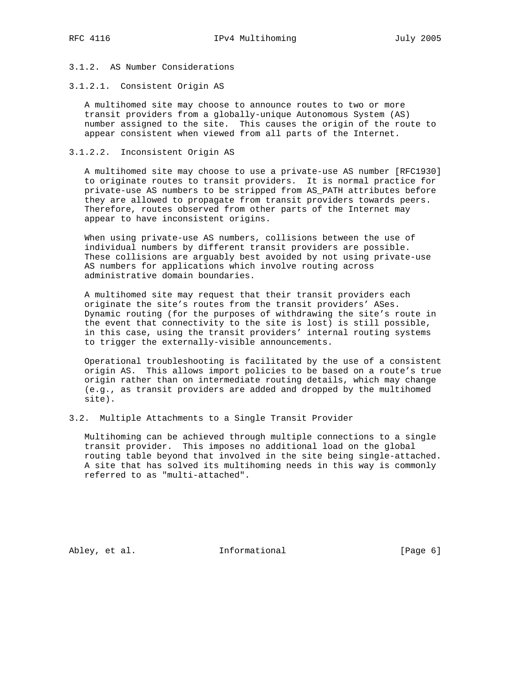# 3.1.2. AS Number Considerations

#### 3.1.2.1. Consistent Origin AS

 A multihomed site may choose to announce routes to two or more transit providers from a globally-unique Autonomous System (AS) number assigned to the site. This causes the origin of the route to appear consistent when viewed from all parts of the Internet.

#### 3.1.2.2. Inconsistent Origin AS

 A multihomed site may choose to use a private-use AS number [RFC1930] to originate routes to transit providers. It is normal practice for private-use AS numbers to be stripped from AS\_PATH attributes before they are allowed to propagate from transit providers towards peers. Therefore, routes observed from other parts of the Internet may appear to have inconsistent origins.

 When using private-use AS numbers, collisions between the use of individual numbers by different transit providers are possible. These collisions are arguably best avoided by not using private-use AS numbers for applications which involve routing across administrative domain boundaries.

 A multihomed site may request that their transit providers each originate the site's routes from the transit providers' ASes. Dynamic routing (for the purposes of withdrawing the site's route in the event that connectivity to the site is lost) is still possible, in this case, using the transit providers' internal routing systems to trigger the externally-visible announcements.

 Operational troubleshooting is facilitated by the use of a consistent origin AS. This allows import policies to be based on a route's true origin rather than on intermediate routing details, which may change (e.g., as transit providers are added and dropped by the multihomed site).

#### 3.2. Multiple Attachments to a Single Transit Provider

 Multihoming can be achieved through multiple connections to a single transit provider. This imposes no additional load on the global routing table beyond that involved in the site being single-attached. A site that has solved its multihoming needs in this way is commonly referred to as "multi-attached".

Abley, et al. 1nformational 1999 [Page 6]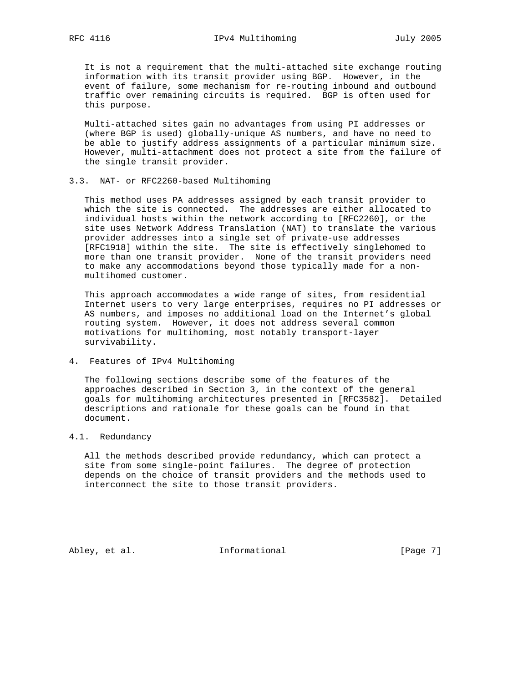It is not a requirement that the multi-attached site exchange routing information with its transit provider using BGP. However, in the event of failure, some mechanism for re-routing inbound and outbound traffic over remaining circuits is required. BGP is often used for this purpose.

 Multi-attached sites gain no advantages from using PI addresses or (where BGP is used) globally-unique AS numbers, and have no need to be able to justify address assignments of a particular minimum size. However, multi-attachment does not protect a site from the failure of the single transit provider.

#### 3.3. NAT- or RFC2260-based Multihoming

 This method uses PA addresses assigned by each transit provider to which the site is connected. The addresses are either allocated to individual hosts within the network according to [RFC2260], or the site uses Network Address Translation (NAT) to translate the various provider addresses into a single set of private-use addresses [RFC1918] within the site. The site is effectively singlehomed to more than one transit provider. None of the transit providers need to make any accommodations beyond those typically made for a non multihomed customer.

 This approach accommodates a wide range of sites, from residential Internet users to very large enterprises, requires no PI addresses or AS numbers, and imposes no additional load on the Internet's global routing system. However, it does not address several common motivations for multihoming, most notably transport-layer survivability.

4. Features of IPv4 Multihoming

 The following sections describe some of the features of the approaches described in Section 3, in the context of the general goals for multihoming architectures presented in [RFC3582]. Detailed descriptions and rationale for these goals can be found in that document.

#### 4.1. Redundancy

 All the methods described provide redundancy, which can protect a site from some single-point failures. The degree of protection depends on the choice of transit providers and the methods used to interconnect the site to those transit providers.

Abley, et al. 1nformational 1999 [Page 7]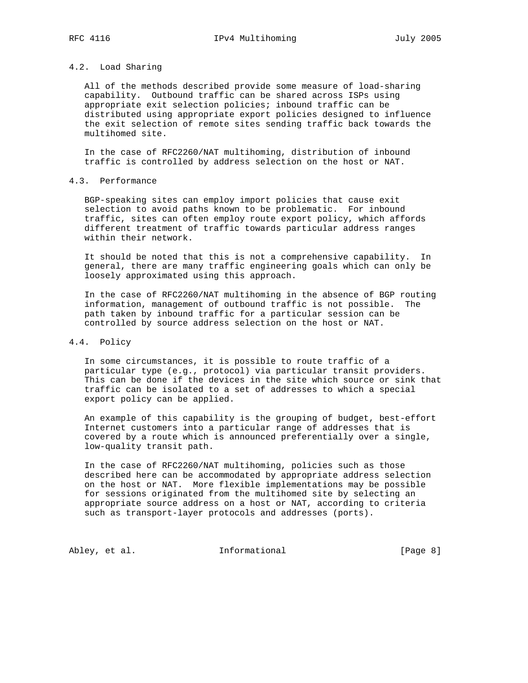# 4.2. Load Sharing

 All of the methods described provide some measure of load-sharing capability. Outbound traffic can be shared across ISPs using appropriate exit selection policies; inbound traffic can be distributed using appropriate export policies designed to influence the exit selection of remote sites sending traffic back towards the multihomed site.

 In the case of RFC2260/NAT multihoming, distribution of inbound traffic is controlled by address selection on the host or NAT.

# 4.3. Performance

 BGP-speaking sites can employ import policies that cause exit selection to avoid paths known to be problematic. For inbound traffic, sites can often employ route export policy, which affords different treatment of traffic towards particular address ranges within their network.

 It should be noted that this is not a comprehensive capability. In general, there are many traffic engineering goals which can only be loosely approximated using this approach.

 In the case of RFC2260/NAT multihoming in the absence of BGP routing information, management of outbound traffic is not possible. The path taken by inbound traffic for a particular session can be controlled by source address selection on the host or NAT.

#### 4.4. Policy

 In some circumstances, it is possible to route traffic of a particular type (e.g., protocol) via particular transit providers. This can be done if the devices in the site which source or sink that traffic can be isolated to a set of addresses to which a special export policy can be applied.

 An example of this capability is the grouping of budget, best-effort Internet customers into a particular range of addresses that is covered by a route which is announced preferentially over a single, low-quality transit path.

 In the case of RFC2260/NAT multihoming, policies such as those described here can be accommodated by appropriate address selection on the host or NAT. More flexible implementations may be possible for sessions originated from the multihomed site by selecting an appropriate source address on a host or NAT, according to criteria such as transport-layer protocols and addresses (ports).

Abley, et al. 1nformational 1999 [Page 8]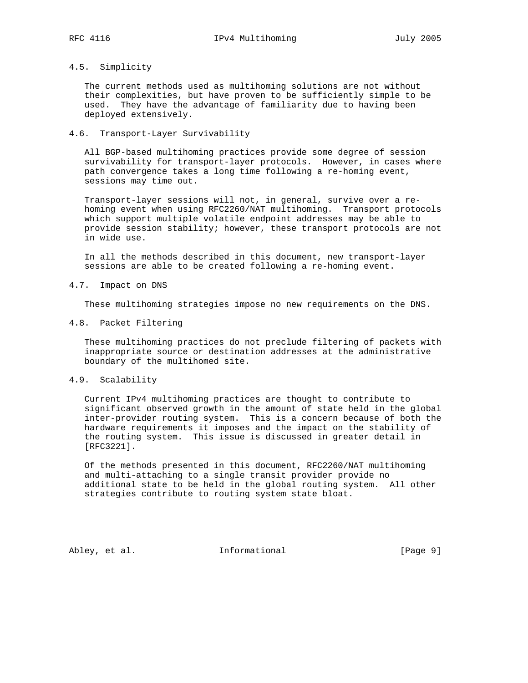## 4.5. Simplicity

 The current methods used as multihoming solutions are not without their complexities, but have proven to be sufficiently simple to be used. They have the advantage of familiarity due to having been deployed extensively.

#### 4.6. Transport-Layer Survivability

 All BGP-based multihoming practices provide some degree of session survivability for transport-layer protocols. However, in cases where path convergence takes a long time following a re-homing event, sessions may time out.

 Transport-layer sessions will not, in general, survive over a re homing event when using RFC2260/NAT multihoming. Transport protocols which support multiple volatile endpoint addresses may be able to provide session stability; however, these transport protocols are not in wide use.

 In all the methods described in this document, new transport-layer sessions are able to be created following a re-homing event.

#### 4.7. Impact on DNS

These multihoming strategies impose no new requirements on the DNS.

#### 4.8. Packet Filtering

 These multihoming practices do not preclude filtering of packets with inappropriate source or destination addresses at the administrative boundary of the multihomed site.

#### 4.9. Scalability

 Current IPv4 multihoming practices are thought to contribute to significant observed growth in the amount of state held in the global inter-provider routing system. This is a concern because of both the hardware requirements it imposes and the impact on the stability of the routing system. This issue is discussed in greater detail in [RFC3221].

 Of the methods presented in this document, RFC2260/NAT multihoming and multi-attaching to a single transit provider provide no additional state to be held in the global routing system. All other strategies contribute to routing system state bloat.

Abley, et al. 1nformational 1999 [Page 9]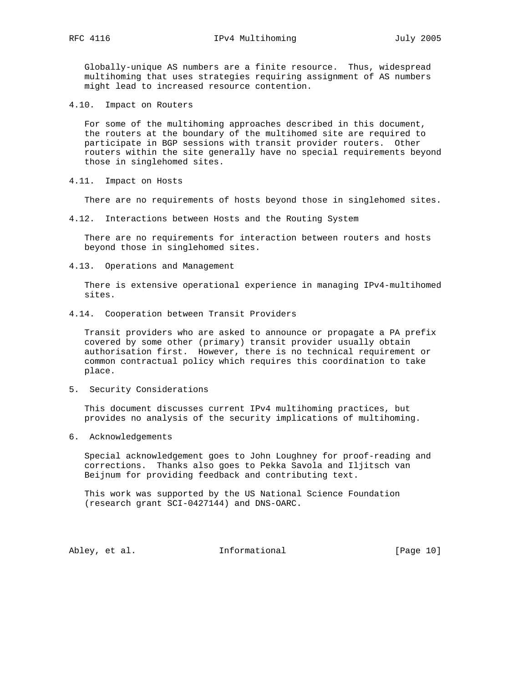Globally-unique AS numbers are a finite resource. Thus, widespread multihoming that uses strategies requiring assignment of AS numbers might lead to increased resource contention.

4.10. Impact on Routers

 For some of the multihoming approaches described in this document, the routers at the boundary of the multihomed site are required to participate in BGP sessions with transit provider routers. Other routers within the site generally have no special requirements beyond those in singlehomed sites.

4.11. Impact on Hosts

There are no requirements of hosts beyond those in singlehomed sites.

4.12. Interactions between Hosts and the Routing System

 There are no requirements for interaction between routers and hosts beyond those in singlehomed sites.

4.13. Operations and Management

 There is extensive operational experience in managing IPv4-multihomed sites.

4.14. Cooperation between Transit Providers

 Transit providers who are asked to announce or propagate a PA prefix covered by some other (primary) transit provider usually obtain authorisation first. However, there is no technical requirement or common contractual policy which requires this coordination to take place.

5. Security Considerations

 This document discusses current IPv4 multihoming practices, but provides no analysis of the security implications of multihoming.

6. Acknowledgements

 Special acknowledgement goes to John Loughney for proof-reading and corrections. Thanks also goes to Pekka Savola and Iljitsch van Beijnum for providing feedback and contributing text.

 This work was supported by the US National Science Foundation (research grant SCI-0427144) and DNS-OARC.

Abley, et al. 1nformational [Page 10]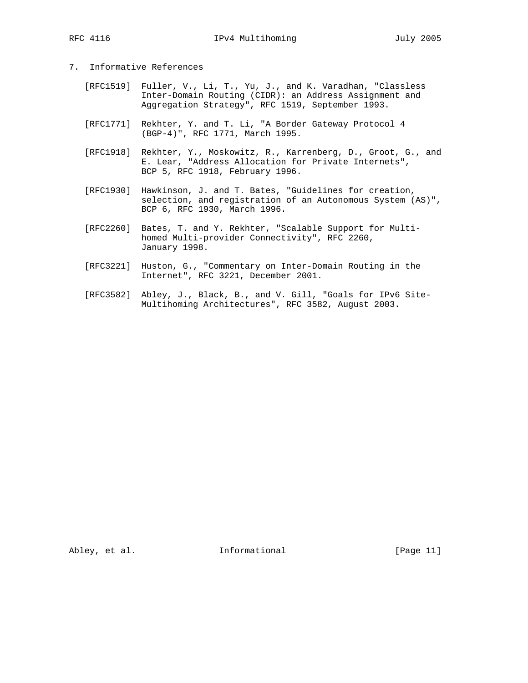- 7. Informative References
	- [RFC1519] Fuller, V., Li, T., Yu, J., and K. Varadhan, "Classless Inter-Domain Routing (CIDR): an Address Assignment and Aggregation Strategy", RFC 1519, September 1993.
	- [RFC1771] Rekhter, Y. and T. Li, "A Border Gateway Protocol 4 (BGP-4)", RFC 1771, March 1995.
	- [RFC1918] Rekhter, Y., Moskowitz, R., Karrenberg, D., Groot, G., and E. Lear, "Address Allocation for Private Internets", BCP 5, RFC 1918, February 1996.
	- [RFC1930] Hawkinson, J. and T. Bates, "Guidelines for creation, selection, and registration of an Autonomous System (AS)", BCP 6, RFC 1930, March 1996.
	- [RFC2260] Bates, T. and Y. Rekhter, "Scalable Support for Multi homed Multi-provider Connectivity", RFC 2260, January 1998.
	- [RFC3221] Huston, G., "Commentary on Inter-Domain Routing in the Internet", RFC 3221, December 2001.
	- [RFC3582] Abley, J., Black, B., and V. Gill, "Goals for IPv6 Site- Multihoming Architectures", RFC 3582, August 2003.

Abley, et al. 10. Informational 1. [Page 11]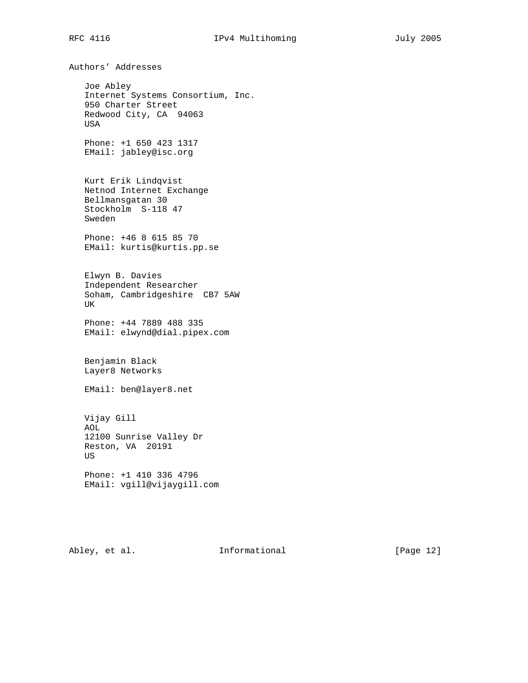Authors' Addresses Joe Abley Internet Systems Consortium, Inc. 950 Charter Street Redwood City, CA 94063 USA Phone: +1 650 423 1317 EMail: jabley@isc.org Kurt Erik Lindqvist Netnod Internet Exchange Bellmansgatan 30 Stockholm S-118 47 Sweden Phone: +46 8 615 85 70 EMail: kurtis@kurtis.pp.se Elwyn B. Davies Independent Researcher Soham, Cambridgeshire CB7 5AW UK Phone: +44 7889 488 335 EMail: elwynd@dial.pipex.com Benjamin Black Layer8 Networks EMail: ben@layer8.net Vijay Gill AOL 12100 Sunrise Valley Dr Reston, VA 20191 US Phone: +1 410 336 4796 EMail: vgill@vijaygill.com

Abley, et al. 1nformational [Page 12]